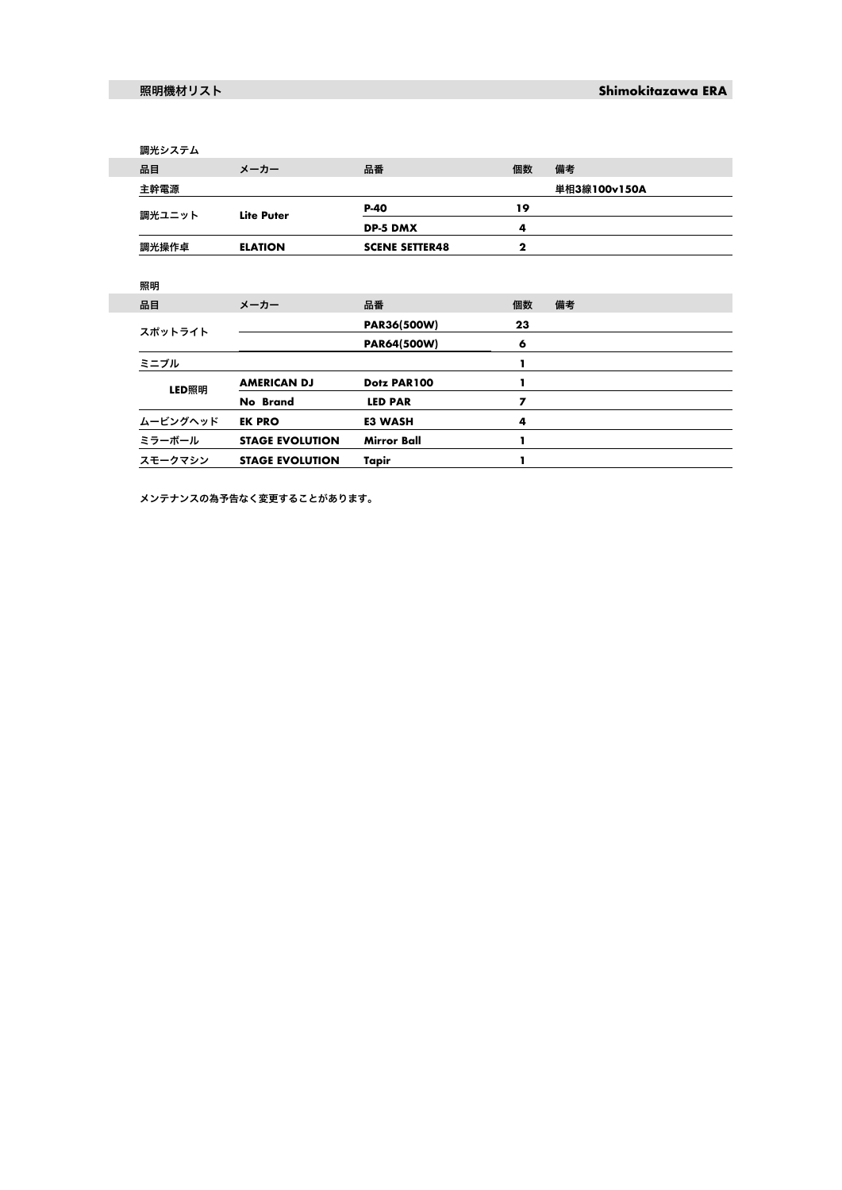|  | 調光システム   |                        |                       |                |              |
|--|----------|------------------------|-----------------------|----------------|--------------|
|  | 品目       | メーカー                   | 品番                    | 個数             | 備考           |
|  | 主幹電源     |                        |                       |                | 単相3線100v150A |
|  | 調光ユニット   | <b>Lite Puter</b>      | P-40                  | 19             |              |
|  |          |                        | <b>DP-5 DMX</b>       | 4              |              |
|  | 調光操作卓    | <b>ELATION</b>         | <b>SCENE SETTER48</b> | $\mathbf{2}$   |              |
|  |          |                        |                       |                |              |
|  | 照明       |                        |                       |                |              |
|  | 品目       | メーカー                   | 品番                    | 個数             | 備考           |
|  | スポットライト  |                        | PAR36(500W)           | 23             |              |
|  |          |                        | PAR64(500W)           | 6              |              |
|  | ミニブル     |                        |                       | ı              |              |
|  | LED照明    | <b>AMERICAN DJ</b>     | Dotz PAR100           | ı              |              |
|  |          | No Brand               | <b>LED PAR</b>        | $\overline{ }$ |              |
|  | ムービングヘッド | <b>EK PRO</b>          | <b>E3 WASH</b>        | 4              |              |
|  | ミラーボール   | <b>STAGE EVOLUTION</b> | <b>Mirror Ball</b>    | I.             |              |
|  | スモークマシン  | <b>STAGE EVOLUTION</b> | Tapir                 |                |              |

メンテナンスの為予告なく変更することがあります。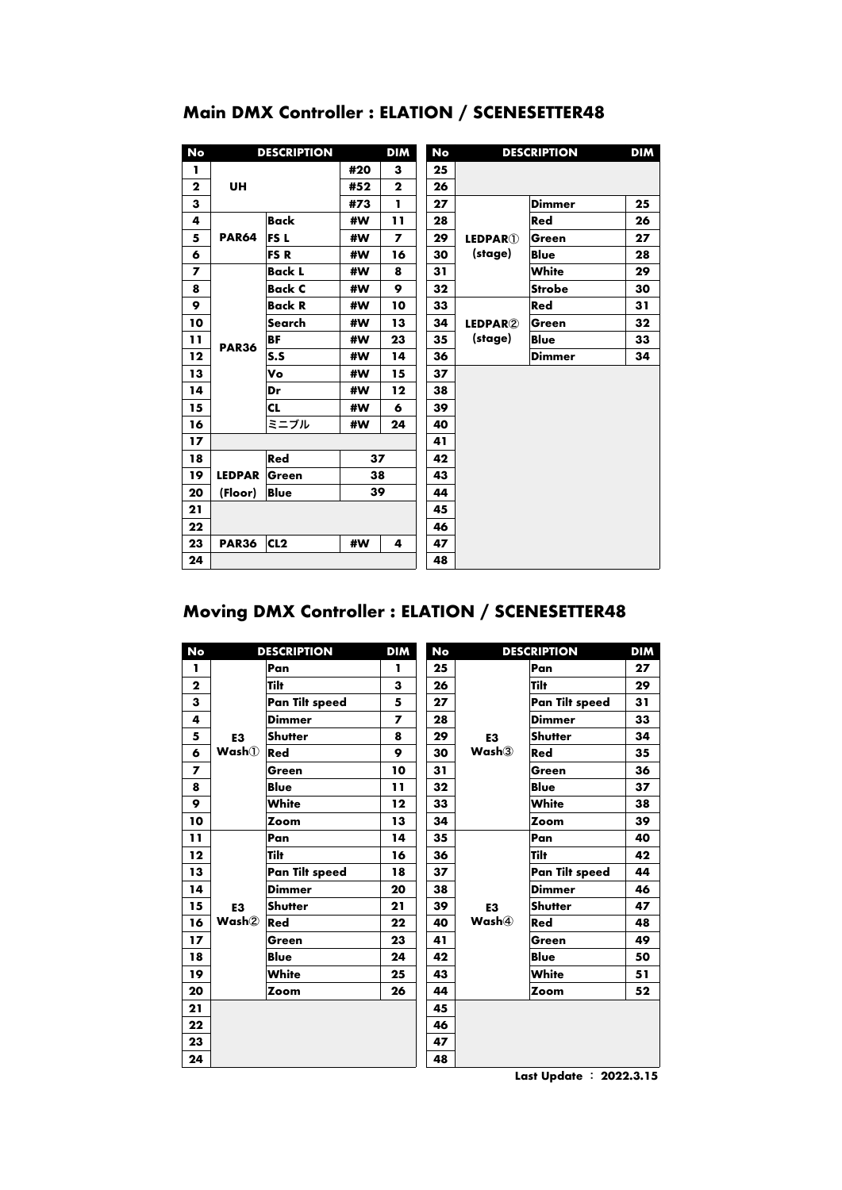| No             | <b>DESCRIPTION</b> |                 | <b>DIM</b><br>No |              |    | <b>DESCRIPTION</b>          |               | <b>DIM</b> |
|----------------|--------------------|-----------------|------------------|--------------|----|-----------------------------|---------------|------------|
| п              |                    |                 | #20              | з            | 25 |                             |               |            |
| $\mathbf{2}$   | UH                 |                 | #52              | $\mathbf{2}$ | 26 |                             |               |            |
| 3              |                    |                 | #73              | ı            | 27 |                             | Dimmer        | 25         |
| 4              |                    | Back            | #W               | 11           | 28 |                             | Red           | 26         |
| 5              | <b>PAR64</b>       | FS L            | #W               | 7            | 29 | <b>LEDPAR<sup>(1)</sup></b> | Green         | 27         |
| 6              |                    | <b>FSR</b>      | #W               | 16           | 30 | (stage)                     | Blue          | 28         |
| $\overline{ }$ |                    | <b>Back L</b>   | #W               | 8            | 31 |                             | White         | 29         |
| 8              |                    | <b>Back C</b>   | #W               | 9            | 32 |                             | <b>Strobe</b> | 30         |
| 9              | <b>PAR36</b>       | <b>Back R</b>   | #W               | 10           | 33 | LEDPAR2<br>(stage)          | Red           | 31         |
| 10             |                    | Search          | #W               | 13           | 34 |                             | Green         | 32         |
| 11             |                    | <b>BF</b>       | #W               | 23           | 35 |                             | <b>Blue</b>   | 33         |
| 12             |                    | S.S             | #W               | 14           | 36 |                             | <b>Dimmer</b> | 34         |
| 13             |                    | V٥              | #W               | 15           | 37 |                             |               |            |
| 14             |                    | Dr              | #W               | 12           | 38 |                             |               |            |
| 15             |                    | CL              | #W               | 6            | 39 |                             |               |            |
| 16             |                    | ミニブル            | #W               | 24           | 40 |                             |               |            |
| 17             |                    |                 |                  |              | 41 |                             |               |            |
| 18             |                    | Red             | 37               |              | 42 |                             |               |            |
| 19             | <b>LEDPAR</b>      | Green           |                  | 38           | 43 |                             |               |            |
| 20             | (Floor)<br>Blue    |                 | 39               |              | 44 |                             |               |            |
| 21             |                    |                 |                  | 45           |    |                             |               |            |
| 22             |                    |                 |                  | 46           |    |                             |               |            |
| 23             | <b>PAR36</b>       | CL <sub>2</sub> | #W               | 4            | 47 |                             |               |            |
| 24             |                    |                 |                  |              | 48 |                             |               |            |

## **Main DMX Controller : ELATION / SCENESETTER48**

## **Moving DMX Controller : ELATION / SCENESETTER48**

| No           | <b>DESCRIPTION</b>        |                | <b>DIM</b> | No | <b>DESCRIPTION</b>                  |                | <b>DIM</b> |
|--------------|---------------------------|----------------|------------|----|-------------------------------------|----------------|------------|
| ı.           | E <sub>3</sub><br>Wash(1) | Pan            | ı          | 25 | E <sub>3</sub><br>Wash <sub>3</sub> | Pan            | 27         |
| $\mathbf{2}$ |                           | Tilt           | 3          | 26 |                                     | Tilt           | 29         |
| 3            |                           | Pan Tilt speed | 5          | 27 |                                     | Pan Tilt speed | 31         |
| 4            |                           | <b>Dimmer</b>  | 7          | 28 |                                     | <b>Dimmer</b>  | 33         |
| 5            |                           | <b>Shutter</b> | 8          | 29 |                                     | Shutter        | 34         |
| 6            |                           | Red            | 9          | 30 |                                     | Red            | 35         |
| 7            |                           | Green          | 10         | 31 |                                     | Green          | 36         |
| 8            |                           | <b>Blue</b>    | 11         | 32 |                                     | <b>Blue</b>    | 37         |
| 9            |                           | White          | 12         | 33 |                                     | White          | 38         |
| 10           |                           | Zoom           | 13         | 34 |                                     | Zoom           | 39         |
| 11           | E <sub>3</sub><br>Wash2   | Pan            | 14         | 35 | E <sub>3</sub><br>Wash(4)           | Pan            | 40         |
| 12           |                           | Tilt           | 16         | 36 |                                     | Tilt           | 42         |
| 13           |                           | Pan Tilt speed | 18         | 37 |                                     | Pan Tilt speed | 44         |
| 14           |                           | <b>Dimmer</b>  | 20         | 38 |                                     | <b>Dimmer</b>  | 46         |
| 15           |                           | <b>Shutter</b> | 21         | 39 |                                     | Shutter        | 47         |
| 16           |                           | Red            | 22         | 40 |                                     | Red            | 48         |
| 17           |                           | Green          | 23         | 41 |                                     | Green          | 49         |
| 18           |                           | <b>Blue</b>    | 24         | 42 |                                     | <b>Blue</b>    | 50         |
| 19           |                           | White          | 25         | 43 |                                     | White          | 51         |
| 20           |                           | Zoom           | 26         | 44 |                                     | Zoom           | 52         |
| 21           |                           |                |            | 45 |                                     |                |            |
| 22           |                           |                |            | 46 |                                     |                |            |
| 23           |                           |                |            | 47 |                                     |                |            |
| 24           |                           |                |            | 48 |                                     |                |            |

Last Update : 2022.3.15